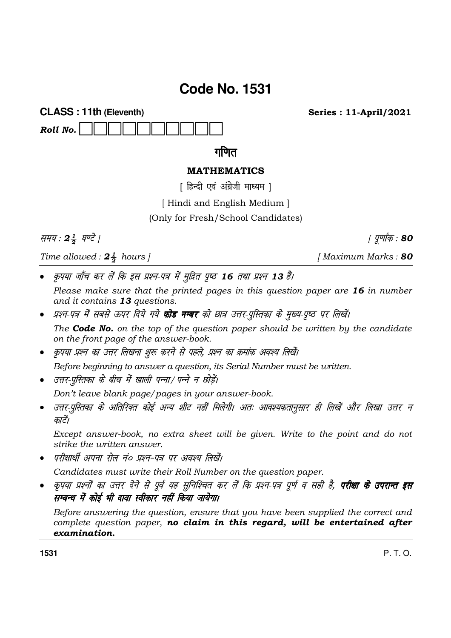## **Code No. 1531**

**CLASS: 11th (Eleventh)** Roll No.

**Series: 11-April/2021** 

गणित

## **MATHEMATICS**

[ हिन्दी एवं अंग्रेजी माध्यम ]

[Hindi and English Medium]

(Only for Fresh/School Candidates)

समय: 24 घण्टे |

Time allowed:  $2\frac{1}{2}$  hours |

कृपया जाँच कर लें कि इस प्रश्न-पत्र में मुद्रित पृष्ठ 16 तथा प्रश्न 13 हैं।

Please make sure that the printed pages in this question paper are 16 in number and it contains 13 questions.

- प्रश्न-पत्र में सबसे ऊपर दिये गये **कोड नम्बर** को छात्र उत्तर-पुस्तिका के मुख्य-पृष्ठ पर लिखें। The **Code No.** on the top of the question paper should be written by the candidate on the front page of the answer-book.
- कृपया प्रश्न का उत्तर लिखना शुरू करने से पहले, प्रश्न का क्रमांक अवश्य लिखें।

Before beginning to answer a question, its Serial Number must be written.

• उत्तर-परितका के बीच में खाली पन्ना/ पन्ने न छोडें।

Don't leave blank page/pages in your answer-book.

उत्तर-पुस्तिका के अतिरिक्त कोई अन्य शीट नहीं मिलेगी। अतः आवश्यकतानुसार ही लिखें और लिखा उत्तर न  $\bullet$ कारें।

Except answer-book, no extra sheet will be given. Write to the point and do not strike the *uritten* answer.

परीक्षार्थी अपना रोल नं० प्रश्न-पत्र पर अवश्य लिखें।

Candidates must write their Roll Number on the question paper.

कृपया प्रश्नों का उत्तर देने से पूर्व यह सुनिश्चित कर लें कि प्रश्न-पत्र पूर्ण व सही है, **परीक्षा के उपरान्त इस** सम्बन्ध में कोई भी दावा स्वीकार नहीं किया जायेगा।

Before answering the question, ensure that you have been supplied the correct and complete question paper, no claim in this regard, will be entertained after examination.

1531

P T O

[Maximum Marks: 80

| पूर्णांक : 80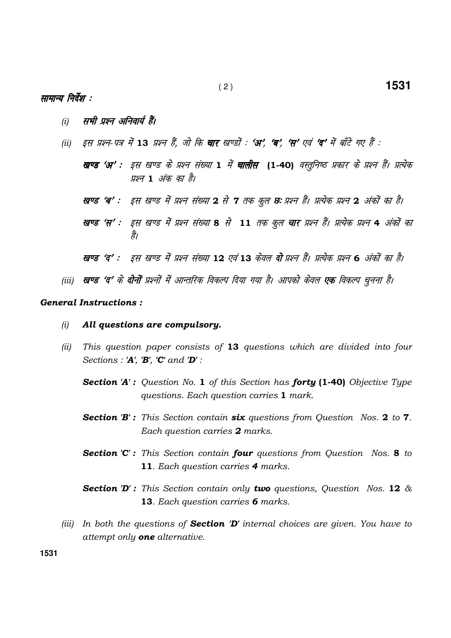## सामान्य निर्देश :

- सभी प्रश्न अनिवार्य हैं।  $(i)$
- इस प्रश्न-पत्र में 13 प्रश्न हैं, जो कि **चार** खण्डों : 'अ', 'ब', 'स' एवं 'द' में बाँटे गए हैं :  $(ii)$ 
	- खण्ड 'अ' : इस खण्ड के प्रश्न संख्या 1 में **चालीस (1-40)** वस्तूनिष्ठ प्रकार के प्रश्न हैं। प्रत्येक प्रश्न 1 अंक का है।
	- खण्ड 'ब' : इस खण्ड में प्रश्न संख्या 2 से 7 तक कूल छः प्रश्न हैं। प्रत्येक प्रश्न 2 अंकों का है।
	- खण्ड 'स' : इस खण्ड में प्रश्न संख्या 8 से 11 तक कूल **चार** प्रश्न हैं। प्रत्येक प्रश्न 4 अंकों का है।
	- खण्ड 'द' : इस खण्ड में प्रश्न संख्या 12 एवं 13 केवल दो प्रश्न हैं। प्रत्येक प्रश्न 6 अंकों का है।
- (iii) **खण्ड 'द'** के **दोनों** प्रश्नों में आन्तरिक विकल्प दिया गया है। आपको केवल **एक** विकल्प चनना है।

## **General Instructions:**

- $(i)$ All questions are compulsory.
- $(ii)$ This question paper consists of 13 questions which are divided into four Sections : 'A', 'B', 'C' and 'D' :
	- **Section 'A':** Question No. 1 of this Section has forty (1-40) Objective Type questions. Each question carries 1 mark.
	- **Section 'B':** This Section contain six questions from Question Nos. 2 to 7. Each question carries 2 marks.
	- **Section 'C':** This Section contain **four** questions from Question Nos. 8 to 11. Each question carries 4 marks.
	- **Section 'D':** This Section contain only **two** questions, Question Nos. 12  $\&$ 13. Each question carries 6 marks.
- (iii) In both the questions of **Section 'D'** internal choices are given. You have to attempt only one alternative.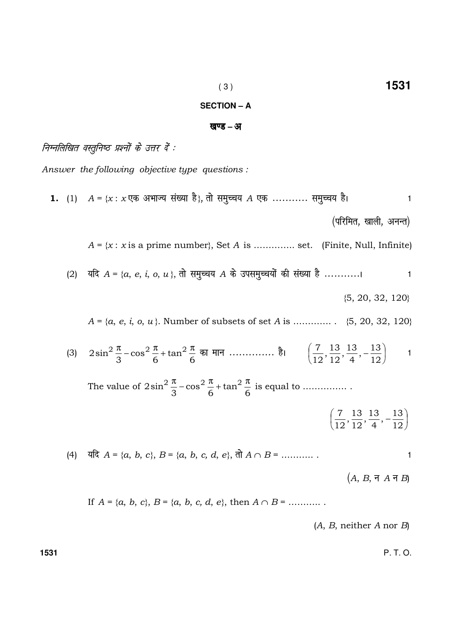Answer the following objective type questions:

\n1. (1) 
$$
A = \{x : x \in \mathbb{R} \text{ square}
$$
 and  $A = \{x : x \in \mathbb{R} \text{ square}$  and  $A = \{x : x \in \mathbb{R} \text{ square}$  and  $A = \{x : x \in \mathbb{R} \text{ square}$  and  $A = \{x : x \in \mathbb{R} \text{ square}$  and  $A = \{x : x \in \mathbb{R} \text{ square}$  and  $A = \{x : x \in \mathbb{R} \text{ square}$  and  $A = \{x : x \in \mathbb{R} \text{ square}$  and  $A = \{x : x \in \mathbb{R} \text{ square}$  and  $A = \{x : x \in \mathbb{R} \text{ square}}$  and  $A = \{x : x \in \mathbb{R} \text{ square}$  and  $A = \{x : x \in \mathbb{R} \text{ square}}$  and  $A = \{x : x \in \mathbb{R} \text{ square}$  and  $A = \{x : x \in \mathbb{R} \text{ square}$  and  $A = \{x : x \in \mathbb{R} \text{ square}}$  and  $A = \{x : x \in \mathbb{R} \text{ square}$  and  $A = \{x : x \in \mathbb{R} \text{ square}$  and  $A = \{x : x \in \mathbb{R} \text{ square}$  and  $A = \{x : x \in \mathbb{R} \text{ square}}$  and  $A = \{x : x \in \mathbb{R} \text{ square}$  and  $A = \{x : x \in \mathbb{R} \text{ square}$  and  $A = \{x : x \in \mathbb{R} \text{ square}$  and  $A = \{x : x \in \mathbb{R} \text{ square}}$  and  $A = \{x : x \in \mathbb{R} \text{ square}$  and  $A = \{x : x \in \mathbb{R} \text{ square}}$  and  $A = \{x : x \in \mathbb{R} \text{ square}}$  and  $A = \{x : x \in \mathbb{R} \text{ square}}$  and  $A = \{x : x \in \mathbb{R} \text{ square}}$  and  $A = \{x : x \in \mathbb{R} \text{ square}}$  and  $A = \{x : x \in \mathbb{R} \text$ 

( 3 ) **1531 SECTION – A** 

## खण्ड – अ

## .<br>निम्नलिखित वस्तूनिष्ठ प्रश्नों के उत्तर दें :

Answer the following objective type questions :

(A, B, neither A nor B)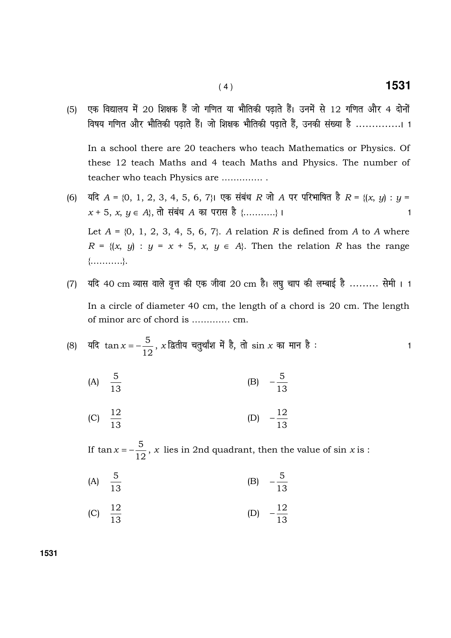(5) एक विद्यालय में 20 शिक्षक हैं जो गणित या भौतिकी पढ़ाते हैं। उनमें से 12 गणित और 4 दोनों विषय गणित और भौतिकी पढ़ाते हैं। जो शिक्षक भौतिकी पढ़ाते हैं, उनकी संख्या है ...............। 1

 In a school there are 20 teachers who teach Mathematics or Physics. Of these 12 teach Maths and 4 teach Maths and Physics. The number of teacher who teach Physics are ………….. .

- (6)  $\forall$  यदि  $A = \{0, 1, 2, 3, 4, 5, 6, 7\}$ । एक संबंध  $R$  जो  $A$  पर परिभाषित है  $R = \{(x, y) : y = 0\}$  $x + 5, x, y \in A$ , तो संबंध A का परास है {………..} I Let  $A = \{0, 1, 2, 3, 4, 5, 6, 7\}$ . A relation R is defined from A to A where  $R = \{(x, y) : y = x + 5, x, y \in A\}$ . Then the relation R has the range {………..}.
- (7)  $\,$  यदि 40 cm व्यास वाले वृत्त की एक जीवा 20 cm है। लघु चाप की लम्बाई है ......... सेमी । 1 In a circle of diameter 40 cm, the length of a chord is 20 cm. The length of minor arc of chord is …………. cm.

(8) 
$$
\overline{4} = \frac{5}{12}, x
$$
 द्वितीय चतुर्थांश में है, तो  $\sin x$  का मान है :

(A) 
$$
\frac{5}{13}
$$
 (B)  $-\frac{5}{13}$ 

(C) 
$$
\frac{12}{13}
$$
 (D)  $-\frac{12}{13}$ 

 If 12  $\tan x = -\frac{5}{10}$ , x lies in 2nd quadrant, then the value of sin x is :

- (A) 13 5 (B) 13 5 −
- (C)  $\frac{12}{13}$  $\frac{12}{12}$  (D) 13  $-12$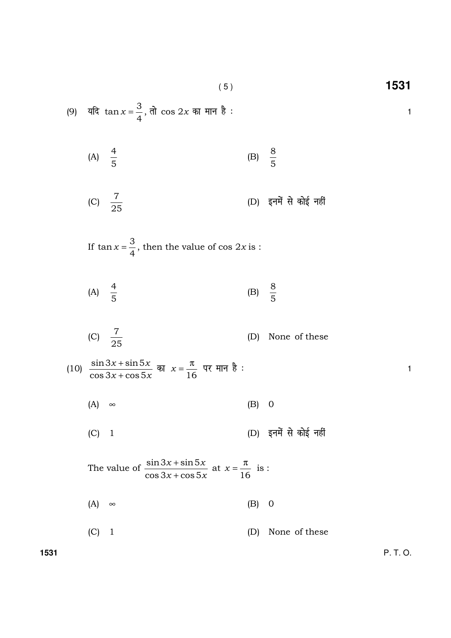( 5 ) **1531**

(9) 
$$
4\pi \tan x = \frac{3}{4}
$$
,  $\pi \cos 2x$   $\pi \tan \pi \approx 1$ 

(A) 
$$
\frac{4}{5}
$$
 (B)  $\frac{8}{5}$ 

$$
(C) \quad \frac{7}{25}
$$

If 
$$
\tan x = \frac{3}{4}
$$
, then the value of  $\cos 2x$  is :

(A) 
$$
\frac{4}{5}
$$
 (B)  $\frac{8}{5}$ 

(C) 
$$
\frac{7}{25}
$$
 (D) None of these

(10) 
$$
\frac{\sin 3x + \sin 5x}{\cos 3x + \cos 5x}
$$
  $\overline{a}$   $x = \frac{\pi}{16}$   $\overline{a}$   $\overline{a}$   $\overline{b}$   $\overline{c}$   $\overline{a}$   $\overline{d}$   $\overline{d}$   $\overline{f}$   $\overline{f}$   $\overline{f}$   $\overline{f}$   $\overline{f}$   $\overline{f}$   $\overline{f}$   $\overline{f}$   $\overline{f}$   $\overline{f}$   $\overline{f}$   $\overline{f}$   $\overline{f}$   $\overline{f}$   $\overline{f}$   $\overline{f}$   $\overline{f}$   $\overline{f}$   $\overline{f}$   $\overline{f}$   $\overline{f}$   $\overline{f}$   $\overline{f}$   $\overline{f}$   $\overline{f}$   $\overline{f}$   $\overline{f}$   $\overline{f}$   $\overline{f}$   $\overline{f}$   $\overline{f}$   $\overline{f}$   $\overline{f}$   $\overline{f}$   $\overline{f}$   $\overline{f}$   $\overline{f}$   $\overline{f}$   $\overline{f}$   $\overline{f}$   $\overline{f}$   $\overline{f}$   $\overline{f}$   $\overline{f}$   $\overline{f}$   $\overline{f}$   $\overline{f}$   $\overline{f}$   $\overline{f}$   $\overline{f}$   $\overline{f}$   $\overline{f}$   $\overline{f}$   $\overline{f}$   $\overline{f}$   $\overline{f}$   $\overline{f}$   $\overline{f}$   $\overline{f}$   $\overline{f}$   $\overline{f}$   $\overline{f}$   $\overline{f}$   $\over$ 

$$
(A) \quad \infty \tag{B} \tag{B}
$$

$$
(C) 1
$$
 (D)  $\xi \overrightarrow{r}$   $\overrightarrow{r}$   $\overrightarrow{r}$   $\overrightarrow{r}$   $\overrightarrow{r}$   $\overrightarrow{r}$   $\overrightarrow{r}$   $\overrightarrow{r}$   $\overrightarrow{r}$ 

 The value of  $x + \cos 5x$  $x + \sin 5x$  $\cos 3x + \cos 5$  $\sin 3x + \sin 5$ + + at 16  $x = \frac{\pi}{16}$  is :

$$
(A) \quad \infty \tag{B} \tag{B}
$$

$$
(C) 1 \t\t (D) None of these
$$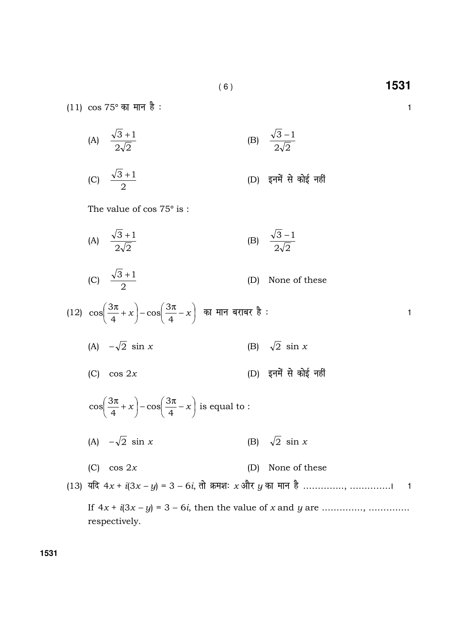$(11) \cos 75^\circ$  का मान है:

(A) 
$$
\frac{\sqrt{3}+1}{2\sqrt{2}}
$$
 (B)  $\frac{\sqrt{3}-1}{2\sqrt{2}}$   
(C)  $\frac{\sqrt{3}+1}{2}$  (D)  $\xi\overrightarrow{n}$   $\overrightarrow{n}$   $\overrightarrow{n}$   $\overrightarrow{n}$   $\overrightarrow{n}$ 

The value of cos 75° is :

(A) 
$$
\frac{\sqrt{3}+1}{2\sqrt{2}}
$$
 (B)  $\frac{\sqrt{3}-1}{2\sqrt{2}}$   
\n(C)  $\frac{\sqrt{3}+1}{2}$  (D) None of these  
\n(12)  $\cos(\frac{3\pi}{4}+x)-\cos(\frac{3\pi}{4}-x)$   $\overline{a}$   $\overline{a}$   $\overline{a}$   $\overline{a}$  (B)  $\sqrt{2} \sin x$   
\n(A)  $-\sqrt{2} \sin x$  (B)  $\sqrt{2} \sin x$   
\n(C)  $\cos 2x$  (D)  $\overline{a}$   $\overline{a}$   $\overline{a}$   $\overline{a}$   $\overline{a}$   $\overline{a}$   $\overline{a}$   $\overline{a}$   $\overline{a}$   $\overline{a}$   $\overline{a}$   $\overline{a}$   $\overline{a}$   $\overline{a}$   $\overline{a}$   $\overline{a}$   $\overline{a}$   $\overline{a}$   $\overline{a}$   $\overline{a}$   $\overline{a}$   $\overline{a}$   $\overline{a}$   $\overline{a}$   $\overline{a}$   $\overline{a}$   $\overline{a}$   $\overline{a}$   $\overline{a}$   $\overline{a}$   $\overline{a}$   $\overline{a}$   $\overline{a}$   $\overline{a}$   $\overline{a}$   $\overline{a}$   $\overline{a}$   $\overline{a}$   $\overline{a}$   $\overline{a}$   $\overline{a}$   $\overline{a}$   $\overline{a}$   $\overline{a}$   $\overline{a}$   $\overline{a}$   $\overline{a}$   $\overline{a}$   $\overline{a}$   $\overline{a}$   $\overline{a}$   $\overline{a}$   $\overline{a}$   $\overline{a}$   $\overline{a$ 

(13) 
$$
\overline{a}R + \overline{a}(3x - y) = 3 - 6i
$$
,  $\overline{d}R + \overline{a}(x) = 3 - 6i$ ,  $\overline{d}R + \overline{a}(x) = 3 - 6i$ .

If  $4x + i(3x - y) = 3 - 6i$ , then the value of x and y are …………, …………… respectively.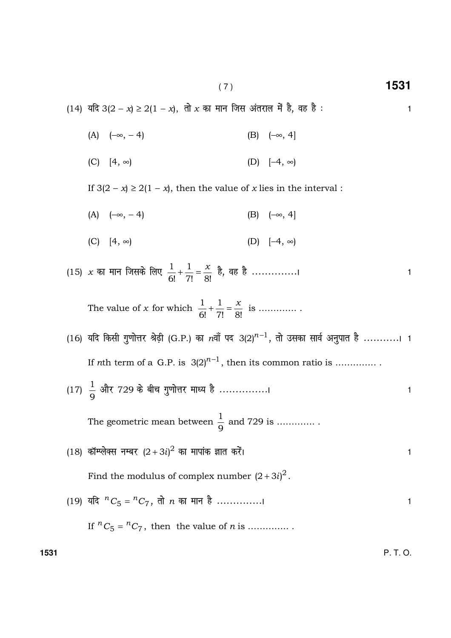( 7 ) **1531**

(14) यदि 3(2 − x) ≥ 2(1 − x), तो x का मान जिस अंतराल में है, वह है : < < 1

- (A)  $(-\infty, -4)$  (B)  $(-\infty, 4]$
- (C) [4, ∞) (D) [−4, ∞)

If  $3(2 - x) \ge 2(1 - x)$ , then the value of x lies in the interval :

(A)  $(-\infty, -4)$  (B)  $(-\infty, 4]$ 

$$
(C) [4, \infty) \qquad (D) [-4, \infty)
$$

(15)  $\,x\,$  का मान जिसके लिए 7! 8! 1 6! 1 x + = gS] og gS --------------A <sup>1</sup>

The value of  $x$  for which 7! 8! 1 6!  $\frac{1}{6!} + \frac{1}{7!} = \frac{x}{6!}$  is ..............

- $(16)$  यदि किसी गुणोत्तर श्रेढ़ी  $(G.P.)$  का  $n$ वाँ पद 3 $(2)^{n-1}$ , तो उसका सार्व अनुपात है ............। 1 If *n*th term of a G.P. is  $3(2)^{n-1}$ , then its common ratio is ...............
- (17) 9  $\frac{1}{6}$  और 729 के बीच गुणोत्तर माध्य है ...............।

 The geometric mean between 9  $\frac{1}{6}$  and 729 is ..............

 $(18)$  कॉम्प्लेक्स नम्बर  $(2 + 3i)^2$  का मापांक ज्ञात करें।

Find the modulus of complex number  $(2 + 3i)^2$ .

(19) यदि  ${}^{n}C_{5} = {}^{n}C_{7}$ , तो  $n$  का मान है ...............।

If  ${}^nC_5 = {}^nC_7$ , then the value of *n* is ...............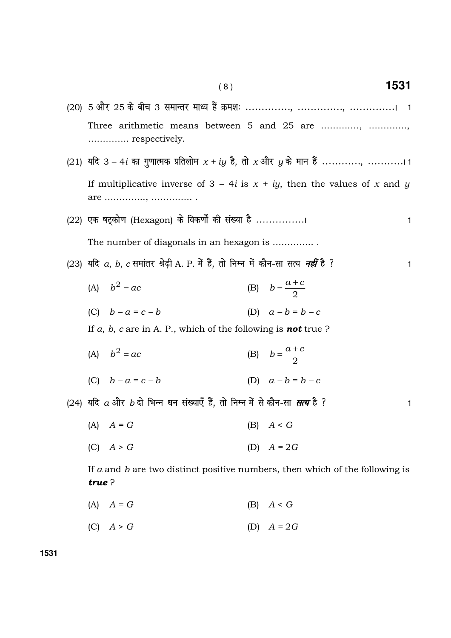Three arithmetic means between 5 and 25 are .............., .............. If multiplicative inverse of  $3 - 4i$  is  $x + iy$ , then the values of x and y (22) एक षटकोण (Hexagon) के विकर्णों की संख्या है ................  $\mathbf{1}$ The number of diagonals in an hexagon is .............. (23) यदि *a, b, c* समांतर श्रेढी A. P. में हैं, तो निम्न में कौन-सा सत्य *नहीं* है ?  $\mathbf{1}$ (B)  $b = \frac{a+c}{2}$ (A)  $b^2 = ac$ (C)  $h - a = c - h$ (D)  $a - b = b - c$ If a, b, c are in A. P., which of the following is **not** true? (B)  $b = \frac{a+c}{2}$ (A)  $b^2 = ac$ (D)  $a - b = b - c$ (C)  $b - a = c - b$ (24) यदि  $a$ और  $b$  दो भिन्न धन संख्याएँ हैं. तो निम्न में से कौन-सा सत्य है ?  $\mathbf{1}$  $(B)$   $A < G$  $(A)$   $A = G$  $(C)$   $A > G$ (D)  $A = 2G$ If  $a$  and  $b$  are two distinct positive numbers, then which of the following is true?  $(A)$   $A = G$  $(B)$   $A < G$ 

 $(C)$   $A > G$ (D)  $A = 2G$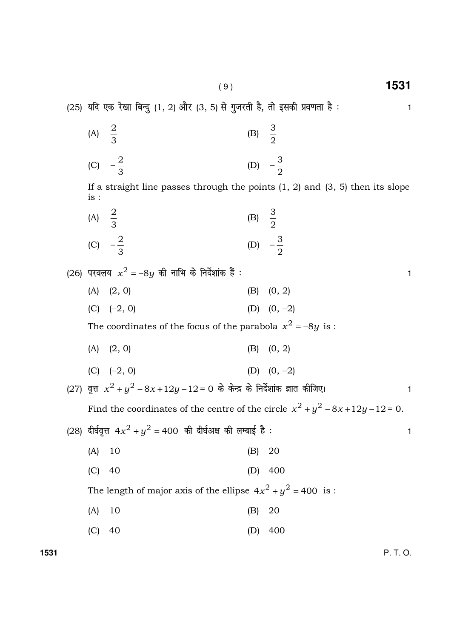( 9 ) **1531**

 $(B)$ 

(A)

2

 $(25)$  यदि एक रेखा बिन्दु  $(1, 2)$  और  $(3, 5)$  से गुजरती है, तो इसकी प्रवणता है :  $\hspace{1.6cm}$  1

3

**1531** P. T. O. 3 2 (C) 3 2  $-\frac{2}{3}$  (D) 2 3 − If a straight line passes through the points  $(1, 2)$  and  $(3, 5)$  then its slope is : (A) 3 2  $(B)$ 2 3 (C) 3 2  $-\frac{2}{3}$  (D) 2 3 − (26) परवलय  $x^2 = -8y$  की नाभि के निर्देशांक हैं :  $\hskip 1.0cm$ (A)  $(2, 0)$  (B)  $(0, 2)$ (C)  $(-2, 0)$  (D)  $(0, -2)$ The coordinates of the focus of the parabola  $x^2 = -8y$  is :  $(A)$   $(2, 0)$   $(B)$   $(0, 2)$ (C)  $(-2, 0)$  (D)  $(0, -2)$ (27) वृत्त  $x^2 + y^2 - 8x + 12y - 12 = 0$  के केन्द्र के निर्देशांक ज्ञात कीजिए।  $\,$ Find the coordinates of the centre of the circle  $x^2 + y^2 - 8x + 12y - 12 = 0$ . (28) दीर्घवृत्त 4 $x^2 + y^2 =$  400 की दीर्घअक्ष की लम्बाई है :  $\hskip 1.0cm 1$  (A) 10 (B) 20 (C) 40 (D) 400 The length of major axis of the ellipse  $4x^2 + y^2 = 400$  is : (A) 10 (B) 20 (C) 40 (D) 400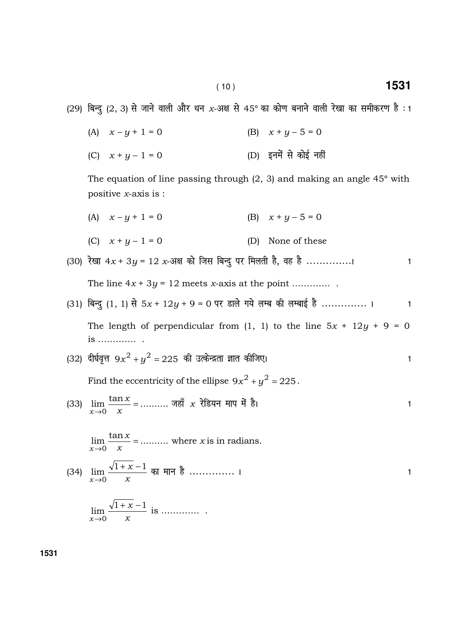(29) बिन्दु (2, 3) से जाने वाली और धन x-अक्ष से 45° का कोण बनाने वाली रेखा का समीकरण है: 1

| (A) $x - y + 1 = 0$ | (B) $x + y - 5 = 0$   |
|---------------------|-----------------------|
| (C) $x + y - 1 = 0$ | (D) इनमें से कोई नहीं |

The equation of line passing through  $(2, 3)$  and making an angle  $45^{\circ}$  with positive  $x$ -axis is :

- (A)  $x y + 1 = 0$  (B)  $x + y 5 = 0$
- (C)  $x + y 1 = 0$  (D) None of these

(30) 
$$
\frac{7}{3}
$$
 = 12 x-344 73 m and 73 m and 74 m and 75 m.

- (31) fcUnq (1, 1) ls 5x + 12y + 9 = 0 ij Mky s x; s yEc dh yEckbZ gS -------------- A <sup>1</sup> The length of perpendicular from  $(1, 1)$  to the line  $5x + 12y + 9 = 0$ is …………. .
- (32) दीर्घवृत्त 9 $x^2 + y^2 = 225$  की उत्केन्द्रता ज्ञात कीजिए।  $\hphantom{\int^{P^P}_{P_P}} 1$

Find the eccentricity of the ellipse  $9x^2 + y^2 = 225$ .

(33)  $\lim \frac{\tan x}{x} = .........$ 0 =  $\rightarrow 0$  x  $\boldsymbol{\chi}$ x जहाँ  $x$  रेडियन माप में है।  $\hphantom{a}$ 

 $\lim \frac{\tan x}{x} = \dots$ 0 =  $\rightarrow 0$  x  $\boldsymbol{\chi}$ x where  $x$  is in radians.

(34) x  $\boldsymbol{\chi}$ x  $\lim \frac{\sqrt{1+x}-1}{\sqrt{1+x}}$ 0  $+\overline{x}$  –  $\lim_{x\to 0} \frac{1+x-1}{x}$  का मान है ............... ।

$$
\lim_{x \to 0} \frac{\sqrt{1+x} - 1}{x}
$$
 is .......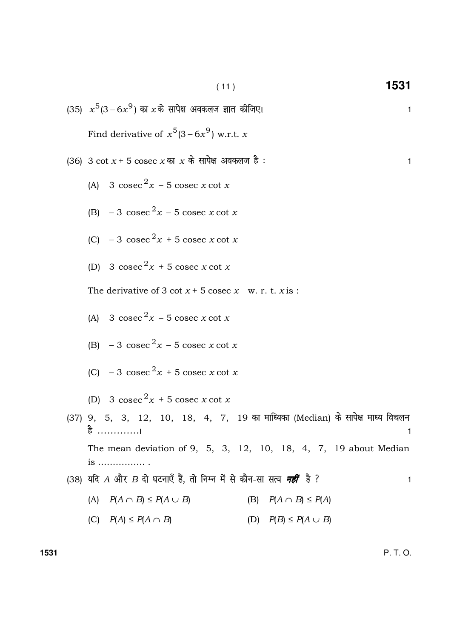(11) 1531  
\n(35) 
$$
x^5(3-6x^9)
$$
 क7 x के सापेक्ष अवकलज ज्ञात कीजिए।  
\nFind derivative of  $x^5(3-6x^9)$  w.r.t. x  
\n(36) 3 cot x + 5 cosec x  $\overline{m}$  x  $\overline{n}$   $\overline{m}$   $\overline{m}$   $\overline{m}$   $\overline{m}$   $\overline{m}$   $\overline{m}$   $\overline{m}$   $\overline{m}$   $\overline{m}$   $\overline{m}$   $\overline{m}$   $\overline{m}$   $\overline{m}$   $\overline{m}$   $\overline{m}$   $\overline{m}$   $\overline{m}$   $\overline{m}$   $\overline{m}$   $\overline{m}$   $\overline{m}$   $\overline{m}$   $\overline{m}$   $\overline{m}$   $\overline{m}$   $\overline{m}$   $\overline{m}$   $\overline{m}$   $\overline{m}$   $\overline{m}$   $\overline{m}$   $\overline{m}$   $\overline{m}$   $\overline{m}$   $\overline{m}$   $\overline{m}$   $\overline{m}$   $\overline{m}$   $\overline{m}$   $\overline{m}$   $\overline{m}$   $\overline{m}$   $\overline{m}$   $\overline{m}$   $\overline{m}$   $\overline{m}$   $\overline{m}$   $\overline{m}$   $\overline{m}$   $\overline{m}$   $\overline{m}$   $\overline{m}$   $\overline{m}$   $\overline{m}$   $\overline{m}$   $\overline{m}$   $\overline{m}$   $\overline{m}$   $\overline{m}$   $\overline{m}$   $\overline{m}$   $\overline{m}$   $\overline{m}$   $\overline{m}$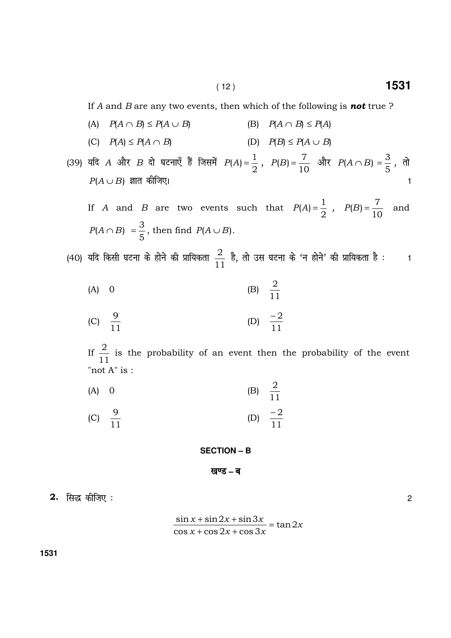If A and B are any two events, then which of the following is **not** true ?

- (A)  $P(A \cap B) \leq P(A \cup B)$  (B)  $P(A \cap B) \leq P(A)$
- (C)  $P(A) \leq P(A \cap B)$  (D)  $P(B) \leq P(A \cup B)$
- (39) यदि  $A$  और  $B$  दो घटनाएँ हैं जिसमें  $I$ 2  $P(A) = \frac{1}{2}$ , 10  $P(B) = \frac{7}{10}$  और  $P(A \cap B)$ 5  $=\frac{3}{5}$  , तो  $P(A \cup B)$  ज्ञात कीजिए।

If  $A$  and  $B$  are two events such that 2  $P(A) = \frac{1}{2}$ , 10  $P(B) = \frac{7}{10}$  and  $P(A \cap B)$ 5  $=\frac{3}{5}$ , then find  $P(A \cup B)$ .

(40) यदि किसी घटना के होने की प्रायिकता  $\frac{2}{11}$  $\frac{2}{\sqrt{2}}$  है, तो उस घटना के 'न होने' की प्रायिकता है : 1

(A) 0 (B) 
$$
\frac{2}{11}
$$

(C) 
$$
\frac{9}{11}
$$
 (D)  $\frac{-2}{11}$ 

 If 11  $\frac{2}{11}$  is the probability of an event then the probability of the event "not A" is :

11

 $(A)$  0 11 2 (C) 9 (D) − 2

#### **SECTION – B**

## खण्ड – ब

 $\overline{2.}$  सिद्ध कीजिए :  $\overline{2.}$ 

11

$$
\frac{\sin x + \sin 2x + \sin 3x}{\cos x + \cos 2x + \cos 3x} = \tan 2x
$$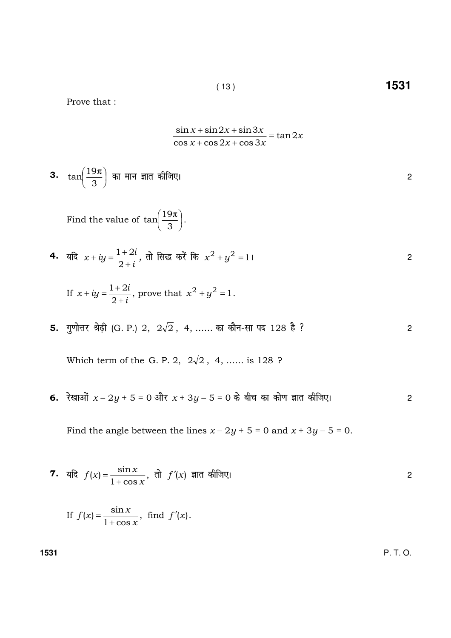$\overline{2}$ 

Prove that :

$$
\frac{\sin x + \sin 2x + \sin 3x}{\cos x + \cos 2x + \cos 3x} = \tan 2x
$$

 $(13)$ 

3. 
$$
\tan\left(\frac{19\pi}{3}\right)
$$
 का मान ज्ञात कीजिए।

Find the value of  $\tan\left(\frac{19\pi}{3}\right)$ .

4. 
$$
\overline{a}x + iy = \frac{1+2i}{2+i}
$$
,  $\overline{d}x$   $\overline{b}x^2 + y^2 = 1$ 

If 
$$
x + iy = \frac{1+2i}{2+i}
$$
, prove that  $x^2 + y^2 = 1$ .

5. गुणोत्तर श्रेढ़ी (G. P.) 2,  $2\sqrt{2}$ , 4, ...... का कौन-सा पद 128 है ?

Which term of the G. P. 2,  $2\sqrt{2}$ , 4, ...... is 128 ?

6. रेखाओं  $x - 2y + 5 = 0$  और  $x + 3y - 5 = 0$  के बीच का कोण ज्ञात कीजिए।  $\sqrt{2}$ 

Find the angle between the lines  $x - 2y + 5 = 0$  and  $x + 3y - 5 = 0$ .

7. 
$$
\text{ if } f(x) = \frac{\sin x}{1 + \cos x}, \text{ if } f'(x) = \sin \theta \text{ and } \text{ if } f'(x) = \sin \theta \text{ and } \text{ if } f'(x) = \sin \theta \text{ and } \text{ if } f'(x) = \sin \theta \text{ and } \text{ if } f'(x) = \sin \theta \text{ and } \text{ if } f'(x) = \sin \theta \text{ and } \text{ if } f'(x) = \sin \theta \text{ and } \text{ if } f'(x) = \sin \theta \text{ and } \text{ if } f'(x) = \sin \theta \text{ and } \text{ if } f'(x) = \sin \theta \text{ and } \text{ if } f'(x) = \sin \theta \text{ and } \text{ if } f'(x) = \sin \theta \text{ and } \text{ if } f'(x) = \sin \theta \text{ and } \text{ if } f'(x) = \sin \theta \text{ and } \text{ if } f'(x) = \sin \theta \text{ and } \text{ if } f'(x) = \sin \theta \text{ and } \text{ if } f'(x) = \sin \theta \text{ and } \text{ if } f'(x) = \sin \theta \text{ and } \text{ if } f'(x) = \sin \theta \text{ and } \text{ if } f'(x) = \sin \theta \text{ and } \text{ if } f'(x) = \sin \theta \text{ and } \text{ if } f'(x) = \sin \theta \text{ and } \text{ if } f'(x) = \sin \theta \text{ and } \text{ if } f'(x) = \sin \theta \text{ and } \text{ if } f'(x) = \sin \theta \text{ and } \text{ if } f'(x) = \sin \theta \text{ and } \text{ if } f'(x) = \sin \theta \text{ and } \text{ if } f'(x) = \sin \theta \text{ and } \text{ if } f'(x) = \sin \theta \text{ and } \text{ if } f'(x) = \sin \theta \text{ and } \text{ if } f'(x) = \sin \theta \text{ and } \text{ if } f'(x) = \sin \theta \text{ and } \text{ if } f'(x) = \sin \theta \text{ and } \text{ if } f'(x) = \sin \theta \text{ and } \text{ if } f'(x) = \sin \theta \text{ and } \text{ if } f'(x) = \sin \theta \text{ and } \text{ if } f'(x) = \sin \theta \text{ and } \text{ if } f'(x) = \sin \theta \text{ and } \text{ if } f'(x) = \sin \theta \
$$

If 
$$
f(x) = \frac{\sin x}{1 + \cos x}
$$
, find  $f'(x)$ .

P. T. O.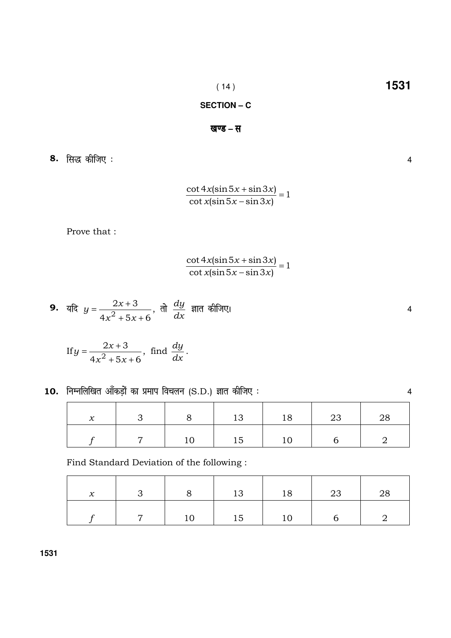## SECTION - C

## खण्ड – स

8. सिद्ध कीजिए:

$$
\frac{\cot 4x(\sin 5x + \sin 3x)}{\cot x(\sin 5x - \sin 3x)} = 1
$$

Prove that :

$$
\frac{\cot 4x(\sin 5x + \sin 3x)}{\cot x(\sin 5x - \sin 3x)} = 1
$$

9. 
$$
\overline{u} = \frac{2x+3}{4x^2+5x+6}
$$
,  $\overline{d} = \frac{dy}{dx}$   $\overline{u}$  and  $\overline{d} = \frac{dy}{dx}$ 

If 
$$
y = \frac{2x+3}{4x^2+5x+6}
$$
, find  $\frac{dy}{dx}$ .

| $\mathcal{X}$ | $\overline{\mathbf{3}}$ |    |         | 8   13   18   23 |   | - 28 |
|---------------|-------------------------|----|---------|------------------|---|------|
|               | $\overline{7}$          | 10 | 15   10 |                  | h |      |

Find Standard Deviation of the following :

| $\mathcal{X}$ |    | 13                                                                              | $\begin{array}{ c c c c c } \hline \text{18} & \text{23} \end{array}$ |  |
|---------------|----|---------------------------------------------------------------------------------|-----------------------------------------------------------------------|--|
|               | 10 | $\begin{array}{ c c c c c } \hline \text{ } & \text{15} & \text{ } \end{array}$ |                                                                       |  |

 $\overline{4}$ 

 $\overline{4}$ 

 $\overline{4}$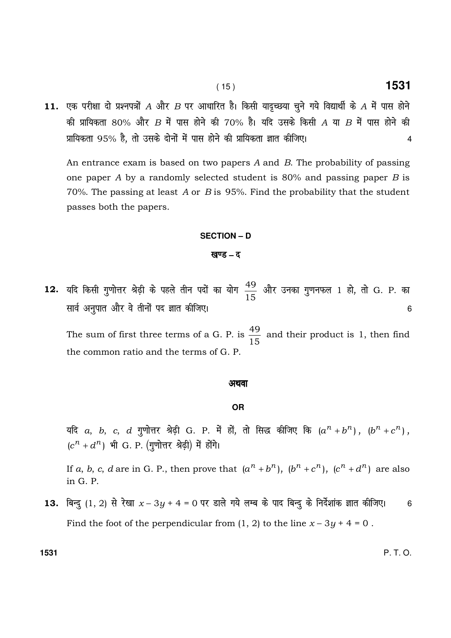11. एक परीक्षा दो प्रश्नपत्रों A और B पर आधारित है। किसी यादृच्छया चुने गये विद्यार्थी के A में पास होने की प्रायिकता 80% और  $B$  में पास होने की 70% है। यदि उसके किसी  $A$  या  $B$  में पास होने की प्रायिकता 95% है, तो उसके दोनों में पास होने की प्रायिकता ज्ञात कीजिए। सांसा का सांसा का सांसा 4

An entrance exam is based on two papers A and B. The probability of passing one paper A by a randomly selected student is 80% and passing paper B is 70%. The passing at least A or B is 95%. Find the probability that the student passes both the papers.

#### **SECTION – D**

### **खण्ड – द**

12. यदि किसी गुणोत्तर श्रेढ़ी के पहले तीन पदों का योग 15 \_\_\_<br><sub>1 E</sub> और उनका गुणनफल 1 हो, तो G. P. का lkoZ vuqikr vkSj o s rhuksa in Kkr dhft,A <sup>6</sup>

The sum of first three terms of a G. P. is 15  $\frac{49}{15}$  and their product is 1, then find the common ratio and the terms of G. P.

#### अथवा

## **OR**

यदि  $a, b, c, d$  गुणोत्तर श्रेढ़ी G. P. में हों, तो सिद्ध कीजिए कि  $(a^n + b^n)$ ,  $(b^n + c^n)$ ,  $(c^n + d^n)$  भी G. P. (गुणोत्तर श्रेढ़ी) में होंगे।

If a, b, c, d are in G. P., then prove that  $(a^n + b^n)$ ,  $(b^n + c^n)$ ,  $(c^n + d^n)$  are also in G. P.

13. बिन्दु (1, 2) से रेखा  $x - 3y + 4 = 0$  पर डाले गये लम्ब के पाद बिन्दु के निर्देशांक ज्ञात कीजिए। 6 Find the foot of the perpendicular from  $(1, 2)$  to the line  $x - 3y + 4 = 0$ .